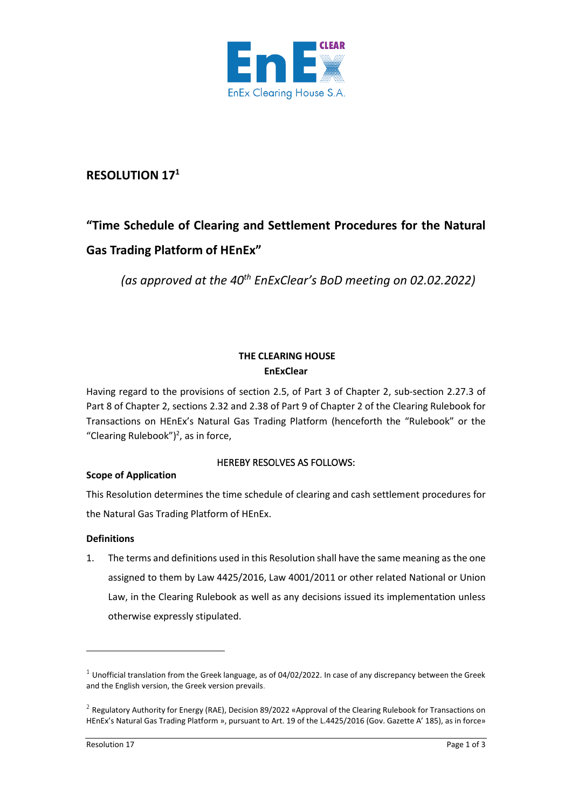

# **RESOLUTION 17 1**

# **"Time Schedule of Clearing and Settlement Procedures for the Natural Gas Trading Platform of HEnEx"**

*(as approved at the 40th EnExClear's BoD meeting on 02.02.2022)*

# **THE CLEARING HOUSE EnExClear**

Having regard to the provisions of section 2.5, of Part 3 of Chapter 2, sub-section 2.27.3 of Part 8 of Chapter 2, sections 2.32 and 2.38 of Part 9 of Chapter 2 of the Clearing Rulebook for Transactions on HEnEx's Natural Gas Trading Platform (henceforth the "Rulebook" or the "Clearing Rulebook")<sup>2</sup>, as in force,

# HEREBY RESOLVES AS FOLLOWS:

# **Scope of Application**

This Resolution determines the time schedule of clearing and cash settlement procedures for the Natural Gas Trading Platform of HEnEx.

#### **Definitions**

1. The terms and definitions used in this Resolution shall have the same meaning as the one assigned to them by Law 4425/2016, Law 4001/2011 or other related National or Union Law, in the Clearing Rulebook as well as any decisions issued its implementation unless otherwise expressly stipulated.

 $1$  Unofficial translation from the Greek language, as of 04/02/2022. In case of any discrepancy between the Greek and the English version, the Greek version prevails.

 $^2$  Regulatory Authority for Energy (RAE), Decision 89/2022 «Approval of the Clearing Rulebook for Transactions on HEnEx's Natural Gas Trading Platform », pursuant to Art. 19 of the L.4425/2016 (Gov. Gazette Α' 185), as in force»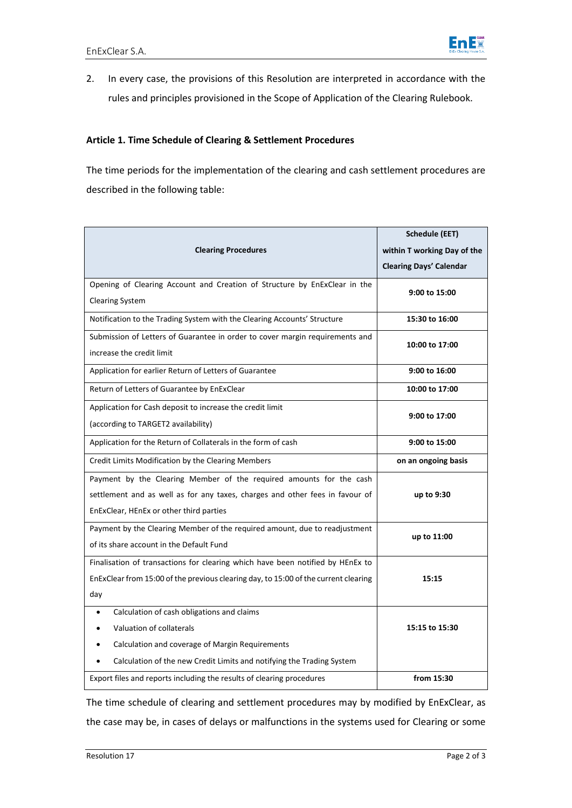

2. In every case, the provisions of this Resolution are interpreted in accordance with the rules and principles provisioned in the Scope of Application of the Clearing Rulebook.

#### **Article 1. Time Schedule of Clearing & Settlement Procedures**

The time periods for the implementation of the clearing and cash settlement procedures are described in the following table:

|                                                                                     | <b>Schedule (EET)</b>          |
|-------------------------------------------------------------------------------------|--------------------------------|
| <b>Clearing Procedures</b>                                                          | within T working Day of the    |
|                                                                                     | <b>Clearing Days' Calendar</b> |
| Opening of Clearing Account and Creation of Structure by EnExClear in the           | 9:00 to 15:00                  |
| <b>Clearing System</b>                                                              |                                |
| Notification to the Trading System with the Clearing Accounts' Structure            | 15:30 to 16:00                 |
| Submission of Letters of Guarantee in order to cover margin requirements and        | 10:00 to 17:00                 |
| increase the credit limit                                                           |                                |
| Application for earlier Return of Letters of Guarantee                              | 9:00 to 16:00                  |
| Return of Letters of Guarantee by EnExClear                                         | 10:00 to 17:00                 |
| Application for Cash deposit to increase the credit limit                           | 9:00 to 17:00                  |
| (according to TARGET2 availability)                                                 |                                |
| Application for the Return of Collaterals in the form of cash                       | 9:00 to 15:00                  |
| Credit Limits Modification by the Clearing Members                                  | on an ongoing basis            |
| Payment by the Clearing Member of the required amounts for the cash                 |                                |
| settlement and as well as for any taxes, charges and other fees in favour of        | up to 9:30                     |
| EnExClear, HEnEx or other third parties                                             |                                |
| Payment by the Clearing Member of the required amount, due to readjustment          | up to 11:00                    |
| of its share account in the Default Fund                                            |                                |
| Finalisation of transactions for clearing which have been notified by HEnEx to      |                                |
| EnExClear from 15:00 of the previous clearing day, to 15:00 of the current clearing | 15:15                          |
| day                                                                                 |                                |
| Calculation of cash obligations and claims<br>$\bullet$                             |                                |
| Valuation of collaterals                                                            | 15:15 to 15:30                 |
| Calculation and coverage of Margin Requirements                                     |                                |
| Calculation of the new Credit Limits and notifying the Trading System               |                                |
| Export files and reports including the results of clearing procedures               | from 15:30                     |

The time schedule of clearing and settlement procedures may by modified by EnExClear, as the case may be, in cases of delays or malfunctions in the systems used for Clearing or some